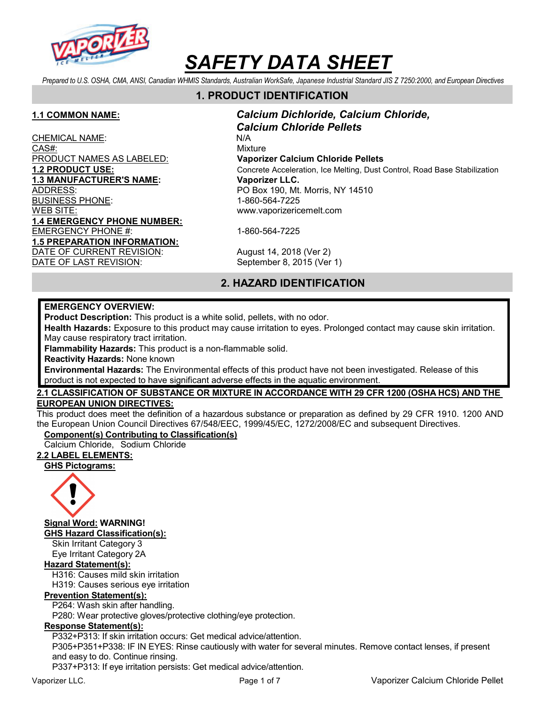

Prepared to U.S. OSHA, CMA, ANSI, Canadian WHMIS Standards, Australian WorkSafe, Japanese Industrial Standard JIS Z 7250:2000, and European Directives

# 1. PRODUCT IDENTIFICATION

CHEMICAL NAME: N/A CAS#: Wixture PRODUCT NAMES AS LABELED: Vaporizer Calcium Chloride Pellets 1.3 MANUFACTURER'S NAME: Vaporizer LLC. ADDRESS: PO Box 190, Mt. Morris, NY 14510 BUSINESS PHONE: 1-860-564-7225 WEB SITE: www.vaporizericemelt.com 1.4 EMERGENCY PHONE NUMBER: EMERGENCY PHONE #: 1-860-564-7225 1.5 PREPARATION INFORMATION: DATE OF CURRENT REVISION: August 14, 2018 (Ver 2)

1.1 COMMON NAME: Calcium Dichloride, Calcium Chloride, Calcium Chloride Pellets 1.2 PRODUCT USE: Concrete Acceleration, Ice Melting, Dust Control, Road Base Stabilization

DATE OF LAST REVISION: September 8, 2015 (Ver 1)

# 2. HAZARD IDENTIFICATION

#### EMERGENCY OVERVIEW:

Product Description: This product is a white solid, pellets, with no odor.

Health Hazards: Exposure to this product may cause irritation to eyes. Prolonged contact may cause skin irritation. May cause respiratory tract irritation.

Flammability Hazards: This product is a non-flammable solid.

Reactivity Hazards: None known

Environmental Hazards: The Environmental effects of this product have not been investigated. Release of this product is not expected to have significant adverse effects in the aquatic environment.

#### 2.1 CLASSIFICATION OF SUBSTANCE OR MIXTURE IN ACCORDANCE WITH 29 CFR 1200 (OSHA HCS) AND THE EUROPEAN UNION DIRECTIVES:

This product does meet the definition of a hazardous substance or preparation as defined by 29 CFR 1910. 1200 AND the European Union Council Directives 67/548/EEC, 1999/45/EC, 1272/2008/EC and subsequent Directives.

#### Component(s) Contributing to Classification(s)

Calcium Chloride, Sodium Chloride

# 2.2 LABEL ELEMENTS:

GHS Pictograms:



Signal Word: WARNING! GHS Hazard Classification(s):

Skin Irritant Category 3 Eye Irritant Category 2A

#### Hazard Statement(s):

H316: Causes mild skin irritation

H319: Causes serious eye irritation

#### Prevention Statement(s):

P264: Wash skin after handling.

P280: Wear protective gloves/protective clothing/eye protection.

### Response Statement(s):

P332+P313: If skin irritation occurs: Get medical advice/attention.

P305+P351+P338: IF IN EYES: Rinse cautiously with water for several minutes. Remove contact lenses, if present and easy to do. Continue rinsing.

P337+P313: If eye irritation persists: Get medical advice/attention.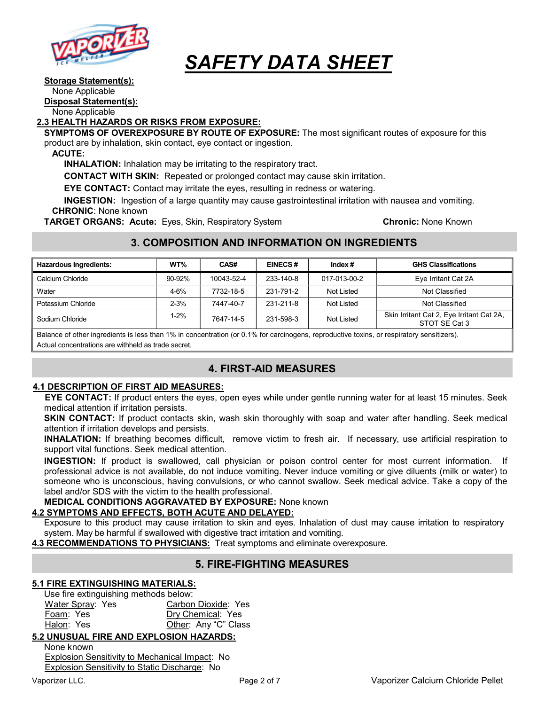

#### Storage Statement(s):

None Applicable

Disposal Statement(s):

None Applicable

#### 2.3 HEALTH HAZARDS OR RISKS FROM EXPOSURE:

SYMPTOMS OF OVEREXPOSURE BY ROUTE OF EXPOSURE: The most significant routes of exposure for this product are by inhalation, skin contact, eye contact or ingestion.

ACUTE:

INHALATION: Inhalation may be irritating to the respiratory tract.

CONTACT WITH SKIN: Repeated or prolonged contact may cause skin irritation.

EYE CONTACT: Contact may irritate the eyes, resulting in redness or watering.

INGESTION: Ingestion of a large quantity may cause gastrointestinal irritation with nausea and vomiting. CHRONIC: None known

**TARGET ORGANS: Acute:** Eyes, Skin, Respiratory System **Chronic: None Known** Chronic: None Known

# 3. COMPOSITION AND INFORMATION ON INGREDIENTS

| <b>Hazardous Ingredients:</b> | WT%      | CAS#       | <b>EINECS#</b> | Index $#$    | <b>GHS Classifications</b>                                 |
|-------------------------------|----------|------------|----------------|--------------|------------------------------------------------------------|
| Calcium Chloride              | 90-92%   | 10043-52-4 | 233-140-8      | 017-013-00-2 | Eye Irritant Cat 2A                                        |
| Water                         | $4 - 6%$ | 7732-18-5  | 231-791-2      | Not Listed   | Not Classified                                             |
| Potassium Chloride            | $2 - 3%$ | 7447-40-7  | 231-211-8      | Not Listed   | Not Classified                                             |
| Sodium Chloride               | $1 - 2%$ | 7647-14-5  | 231-598-3      | Not Listed   | Skin Irritant Cat 2, Eye Irritant Cat 2A,<br>STOT SE Cat 3 |

Balance of other ingredients is less than 1% in concentration (or 0.1% for carcinogens, reproductive toxins, or respiratory sensitizers). Actual concentrations are withheld as trade secret.

# 4. FIRST-AID MEASURES

### 4.1 DESCRIPTION OF FIRST AID MEASURES:

EYE CONTACT: If product enters the eyes, open eyes while under gentle running water for at least 15 minutes. Seek medical attention if irritation persists.

SKIN CONTACT: If product contacts skin, wash skin thoroughly with soap and water after handling. Seek medical attention if irritation develops and persists.

INHALATION: If breathing becomes difficult, remove victim to fresh air. If necessary, use artificial respiration to support vital functions. Seek medical attention.

INGESTION: If product is swallowed, call physician or poison control center for most current information. If professional advice is not available, do not induce vomiting. Never induce vomiting or give diluents (milk or water) to someone who is unconscious, having convulsions, or who cannot swallow. Seek medical advice. Take a copy of the label and/or SDS with the victim to the health professional.

MEDICAL CONDITIONS AGGRAVATED BY EXPOSURE: None known

# 4.2 SYMPTOMS AND EFFECTS, BOTH ACUTE AND DELAYED:

Exposure to this product may cause irritation to skin and eyes. Inhalation of dust may cause irritation to respiratory system. May be harmful if swallowed with digestive tract irritation and vomiting.

4.3 RECOMMENDATIONS TO PHYSICIANS: Treat symptoms and eliminate overexposure.

# 5. FIRE-FIGHTING MEASURES

# 5.1 FIRE EXTINGUISHING MATERIALS:

Use fire extinguishing methods below: Water Spray: Yes Carbon Dioxide: Yes Foam: Yes Dry Chemical: Yes Halon: Yes **Other: Any "C" Class** 

# 5.2 UNUSUAL FIRE AND EXPLOSION HAZARDS:

None known Explosion Sensitivity to Mechanical Impact: No Explosion Sensitivity to Static Discharge: No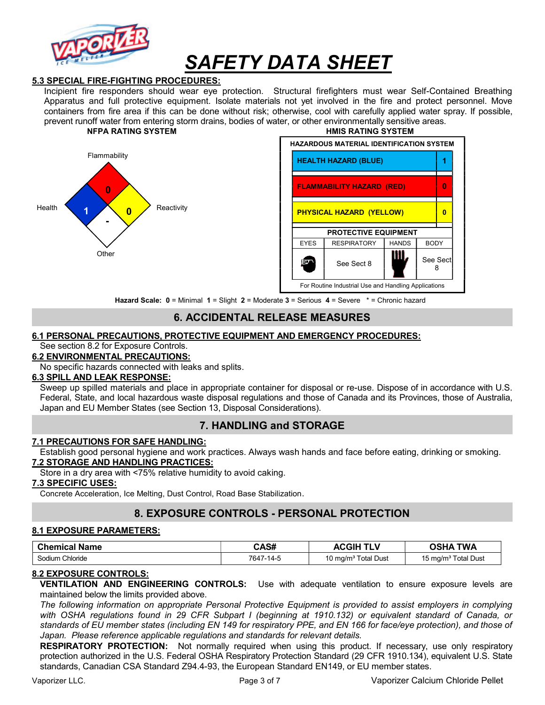

#### 5.3 SPECIAL FIRE-FIGHTING PROCEDURES:

Incipient fire responders should wear eye protection. Structural firefighters must wear Self-Contained Breathing Apparatus and full protective equipment. Isolate materials not yet involved in the fire and protect personnel. Move containers from fire area if this can be done without risk; otherwise, cool with carefully applied water spray. If possible, prevent runoff water from entering storm drains, bodies of water, or other environmentally sensitive areas. NFPA RATING SYSTEM GENERAL MERICULARY SYSTEM HAND HOTEL HAND HOTEL AND HAND SYSTEM HAND SYSTEM DESCRIPTION OF STREAM OF STREAM OF STREAM OF STREAM OF STREAM OF STREAM OF STREAM OF STREAM OF STREAM OF STREAM OF STREAM OF ST





Hazard Scale: 0 = Minimal 1 = Slight 2 = Moderate 3 = Serious 4 = Severe \* = Chronic hazard

# 6. ACCIDENTAL RELEASE MEASURES

#### 6.1 PERSONAL PRECAUTIONS, PROTECTIVE EQUIPMENT AND EMERGENCY PROCEDURES:

See section 8.2 for Exposure Controls.

#### 6.2 ENVIRONMENTAL PRECAUTIONS:

No specific hazards connected with leaks and splits.

## 6.3 SPILL AND LEAK RESPONSE:

Sweep up spilled materials and place in appropriate container for disposal or re-use. Dispose of in accordance with U.S. Federal, State, and local hazardous waste disposal regulations and those of Canada and its Provinces, those of Australia, Japan and EU Member States (see Section 13, Disposal Considerations).

### 7. HANDLING and STORAGE

#### 7.1 PRECAUTIONS FOR SAFE HANDLING:

Establish good personal hygiene and work practices. Always wash hands and face before eating, drinking or smoking. 7.2 STORAGE AND HANDLING PRACTICES:

Store in a dry area with <75% relative humidity to avoid caking.

#### 7.3 SPECIFIC USES:

Concrete Acceleration, Ice Melting, Dust Control, Road Base Stabilization.

### 8. EXPOSURE CONTROLS - PERSONAL PROTECTION

#### 8.1 EXPOSURE PARAMETERS:

| <b>Chemical Name</b> | CAS#      | <b>ACGIH</b><br><b>TLV</b>      | <b>OSHA TWA</b>                 |
|----------------------|-----------|---------------------------------|---------------------------------|
| Sodium Chloride      | 7647-14-5 | 10 mg/m <sup>3</sup> Total Dust | 15 mg/m <sup>3</sup> Total Dust |

#### 8.2 EXPOSURE CONTROLS:

VENTILATION AND ENGINEERING CONTROLS: Use with adequate ventilation to ensure exposure levels are maintained below the limits provided above.

The following information on appropriate Personal Protective Equipment is provided to assist employers in complying with OSHA regulations found in 29 CFR Subpart I (beginning at 1910.132) or equivalent standard of Canada, or standards of EU member states (including EN 149 for respiratory PPE, and EN 166 for face/eye protection), and those of Japan. Please reference applicable regulations and standards for relevant details.

RESPIRATORY PROTECTION: Not normally required when using this product. If necessary, use only respiratory protection authorized in the U.S. Federal OSHA Respiratory Protection Standard (29 CFR 1910.134), equivalent U.S. State standards, Canadian CSA Standard Z94.4-93, the European Standard EN149, or EU member states.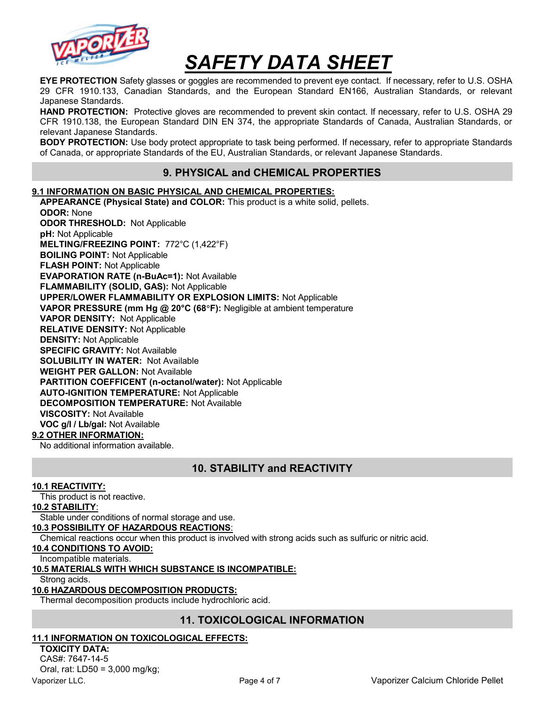

EYE PROTECTION Safety glasses or goggles are recommended to prevent eye contact. If necessary, refer to U.S. OSHA 29 CFR 1910.133, Canadian Standards, and the European Standard EN166, Australian Standards, or relevant Japanese Standards.

HAND PROTECTION: Protective gloves are recommended to prevent skin contact. If necessary, refer to U.S. OSHA 29 CFR 1910.138, the European Standard DIN EN 374, the appropriate Standards of Canada, Australian Standards, or relevant Japanese Standards.

**BODY PROTECTION:** Use body protect appropriate to task being performed. If necessary, refer to appropriate Standards of Canada, or appropriate Standards of the EU, Australian Standards, or relevant Japanese Standards.

# 9. PHYSICAL and CHEMICAL PROPERTIES

#### 9.1 INFORMATION ON BASIC PHYSICAL AND CHEMICAL PROPERTIES:

APPEARANCE (Physical State) and COLOR: This product is a white solid, pellets. ODOR: None ODOR THRESHOLD: Not Applicable pH: Not Applicable MELTING/FREEZING POINT: 772°C (1,422°F) BOILING POINT: Not Applicable FLASH POINT: Not Applicable EVAPORATION RATE (n-BuAc=1): Not Available FLAMMABILITY (SOLID, GAS): Not Applicable UPPER/LOWER FLAMMABILITY OR EXPLOSION LIMITS: Not Applicable VAPOR PRESSURE (mm Hg @ 20°C (68°F): Negligible at ambient temperature VAPOR DENSITY: Not Applicable RELATIVE DENSITY: Not Applicable DENSITY: Not Applicable SPECIFIC GRAVITY: Not Available SOLUBILITY IN WATER: Not Available WEIGHT PER GALLON: Not Available PARTITION COEFFICENT (n-octanol/water): Not Applicable AUTO-IGNITION TEMPERATURE: Not Applicable DECOMPOSITION TEMPERATURE: Not Available VISCOSITY: Not Available VOC g/l / Lb/gal: Not Available

#### 9.2 OTHER INFORMATION:

No additional information available.

# 10. STABILITY and REACTIVITY

#### 10.1 REACTIVITY:

This product is not reactive.

#### 10.2 STABILITY:

Stable under conditions of normal storage and use.

#### 10.3 POSSIBILITY OF HAZARDOUS REACTIONS:

Chemical reactions occur when this product is involved with strong acids such as sulfuric or nitric acid.

#### 10.4 CONDITIONS TO AVOID:

Incompatible materials.

#### 10.5 MATERIALS WITH WHICH SUBSTANCE IS INCOMPATIBLE:

Strong acids.

#### 10.6 HAZARDOUS DECOMPOSITION PRODUCTS:

Thermal decomposition products include hydrochloric acid.

### 11. TOXICOLOGICAL INFORMATION

#### 11.1 INFORMATION ON TOXICOLOGICAL EFFECTS:

TOXICITY DATA: CAS#: 7647-14-5 Oral, rat: LD50 = 3,000 mg/kg;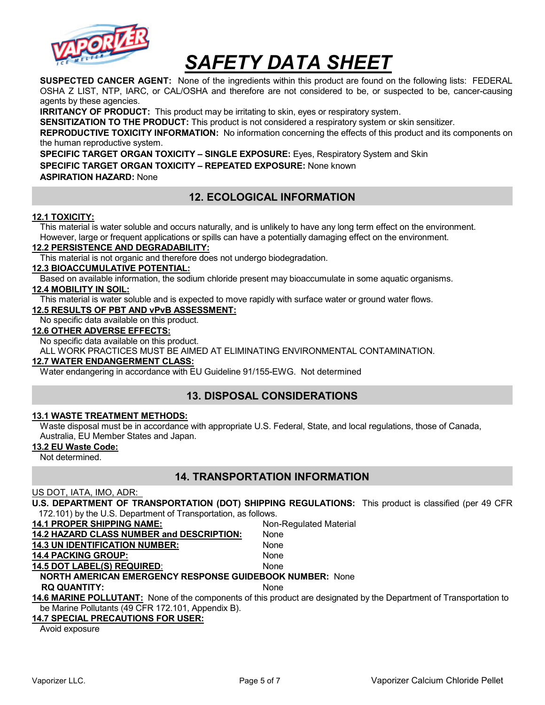

SUSPECTED CANCER AGENT: None of the ingredients within this product are found on the following lists: FEDERAL OSHA Z LIST, NTP, IARC, or CAL/OSHA and therefore are not considered to be, or suspected to be, cancer-causing agents by these agencies.

**IRRITANCY OF PRODUCT:** This product may be irritating to skin, eyes or respiratory system.

SENSITIZATION TO THE PRODUCT: This product is not considered a respiratory system or skin sensitizer.

REPRODUCTIVE TOXICITY INFORMATION: No information concerning the effects of this product and its components on the human reproductive system.

SPECIFIC TARGET ORGAN TOXICITY – SINGLE EXPOSURE: Eyes, Respiratory System and Skin SPECIFIC TARGET ORGAN TOXICITY – REPEATED EXPOSURE: None known ASPIRATION HAZARD: None

# 12. ECOLOGICAL INFORMATION

#### 12.1 TOXICITY:

This material is water soluble and occurs naturally, and is unlikely to have any long term effect on the environment. However, large or frequent applications or spills can have a potentially damaging effect on the environment.

#### 12.2 PERSISTENCE AND DEGRADABILITY:

This material is not organic and therefore does not undergo biodegradation.

#### 12.3 BIOACCUMULATIVE POTENTIAL:

Based on available information, the sodium chloride present may bioaccumulate in some aquatic organisms.

#### 12.4 MOBILITY IN SOIL:

This material is water soluble and is expected to move rapidly with surface water or ground water flows.

#### 12.5 RESULTS OF PBT AND vPvB ASSESSMENT:

No specific data available on this product.

#### 12.6 OTHER ADVERSE EFFECTS:

No specific data available on this product.

ALL WORK PRACTICES MUST BE AIMED AT ELIMINATING ENVIRONMENTAL CONTAMINATION.

#### 12.7 WATER ENDANGERMENT CLASS:

Water endangering in accordance with EU Guideline 91/155-EWG. Not determined

# 13. DISPOSAL CONSIDERATIONS

#### 13.1 WASTE TREATMENT METHODS:

Waste disposal must be in accordance with appropriate U.S. Federal, State, and local regulations, those of Canada, Australia, EU Member States and Japan.

#### 13.2 EU Waste Code:

Not determined.

### 14. TRANSPORTATION INFORMATION

#### US DOT, IATA, IMO, ADR:

U.S. DEPARTMENT OF TRANSPORTATION (DOT) SHIPPING REGULATIONS: This product is classified (per 49 CFR 172.101) by the U.S. Department of Transportation, as follows.

14.1 PROPER SHIPPING NAME: Non-Regulated Material 14.2 HAZARD CLASS NUMBER and DESCRIPTION: None 14.3 UN IDENTIFICATION NUMBER: None 14.4 PACKING GROUP: None 14.5 DOT LABEL(S) REQUIRED: None NORTH AMERICAN EMERGENCY RESPONSE GUIDEBOOK NUMBER: None RQ QUANTITY: None 14.6 MARINE POLLUTANT: None of the components of this product are designated by the Department of Transportation to be Marine Pollutants (49 CFR 172.101, Appendix B). 14.7 SPECIAL PRECAUTIONS FOR USER: Avoid exposure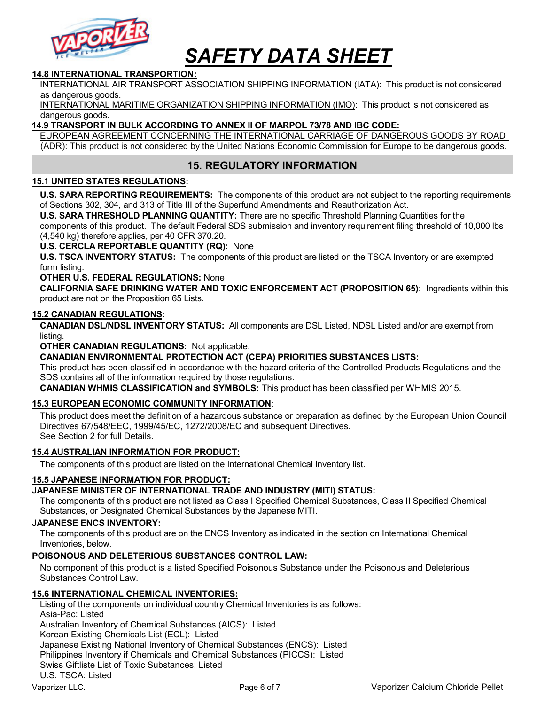

#### 14.8 INTERNATIONAL TRANSPORTION:

INTERNATIONAL AIR TRANSPORT ASSOCIATION SHIPPING INFORMATION (IATA): This product is not considered as dangerous goods.

INTERNATIONAL MARITIME ORGANIZATION SHIPPING INFORMATION (IMO): This product is not considered as dangerous goods.

#### 14.9 TRANSPORT IN BULK ACCORDING TO ANNEX II OF MARPOL 73/78 AND IBC CODE:

EUROPEAN AGREEMENT CONCERNING THE INTERNATIONAL CARRIAGE OF DANGEROUS GOODS BY ROAD (ADR): This product is not considered by the United Nations Economic Commission for Europe to be dangerous goods.

## 15. REGULATORY INFORMATION

#### 15.1 UNITED STATES REGULATIONS:

U.S. SARA REPORTING REQUIREMENTS: The components of this product are not subject to the reporting requirements of Sections 302, 304, and 313 of Title III of the Superfund Amendments and Reauthorization Act.

U.S. SARA THRESHOLD PLANNING QUANTITY: There are no specific Threshold Planning Quantities for the components of this product. The default Federal SDS submission and inventory requirement filing threshold of 10,000 lbs (4,540 kg) therefore applies, per 40 CFR 370.20.

#### U.S. CERCLA REPORTABLE QUANTITY (RQ): None

U.S. TSCA INVENTORY STATUS: The components of this product are listed on the TSCA Inventory or are exempted form listing.

#### OTHER U.S. FEDERAL REGULATIONS: None

CALIFORNIA SAFE DRINKING WATER AND TOXIC ENFORCEMENT ACT (PROPOSITION 65): Ingredients within this product are not on the Proposition 65 Lists.

#### 15.2 CANADIAN REGULATIONS:

CANADIAN DSL/NDSL INVENTORY STATUS: All components are DSL Listed, NDSL Listed and/or are exempt from listing.

OTHER CANADIAN REGULATIONS: Not applicable.

#### CANADIAN ENVIRONMENTAL PROTECTION ACT (CEPA) PRIORITIES SUBSTANCES LISTS:

This product has been classified in accordance with the hazard criteria of the Controlled Products Regulations and the SDS contains all of the information required by those regulations.

CANADIAN WHMIS CLASSIFICATION and SYMBOLS: This product has been classified per WHMIS 2015.

#### 15.3 EUROPEAN ECONOMIC COMMUNITY INFORMATION:

This product does meet the definition of a hazardous substance or preparation as defined by the European Union Council Directives 67/548/EEC, 1999/45/EC, 1272/2008/EC and subsequent Directives. See Section 2 for full Details.

#### 15.4 AUSTRALIAN INFORMATION FOR PRODUCT:

The components of this product are listed on the International Chemical Inventory list.

#### 15.5 JAPANESE INFORMATION FOR PRODUCT:

JAPANESE MINISTER OF INTERNATIONAL TRADE AND INDUSTRY (MITI) STATUS:

The components of this product are not listed as Class I Specified Chemical Substances, Class II Specified Chemical Substances, or Designated Chemical Substances by the Japanese MITI.

#### JAPANESE ENCS INVENTORY:

The components of this product are on the ENCS Inventory as indicated in the section on International Chemical Inventories, below.

#### POISONOUS AND DELETERIOUS SUBSTANCES CONTROL LAW:

No component of this product is a listed Specified Poisonous Substance under the Poisonous and Deleterious Substances Control Law.

#### 15.6 INTERNATIONAL CHEMICAL INVENTORIES:

Vaporizer LLC. Contract Calcium Chloride Pellet Pellet Pellet Pellet Pellet Pellet Pellet Pellet Pellet Pellet Listing of the components on individual country Chemical Inventories is as follows: Asia-Pac: Listed Australian Inventory of Chemical Substances (AICS): Listed Korean Existing Chemicals List (ECL): Listed Japanese Existing National Inventory of Chemical Substances (ENCS): Listed Philippines Inventory if Chemicals and Chemical Substances (PICCS): Listed Swiss Giftliste List of Toxic Substances: Listed U.S. TSCA: Listed